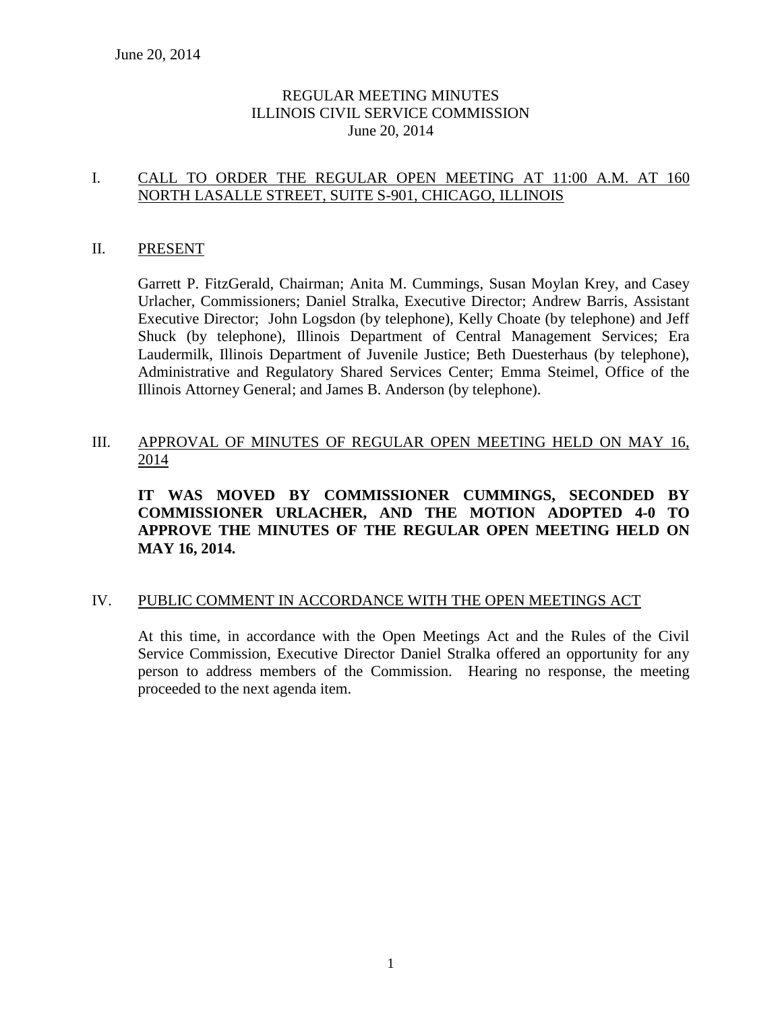### REGULAR MEETING MINUTES ILLINOIS CIVIL SERVICE COMMISSION June 20, 2014

### I. CALL TO ORDER THE REGULAR OPEN MEETING AT 11:00 A.M. AT 160 NORTH LASALLE STREET, SUITE S-901, CHICAGO, ILLINOIS

### II. PRESENT

Garrett P. FitzGerald, Chairman; Anita M. Cummings, Susan Moylan Krey, and Casey Urlacher, Commissioners; Daniel Stralka, Executive Director; Andrew Barris, Assistant Executive Director; John Logsdon (by telephone), Kelly Choate (by telephone) and Jeff Shuck (by telephone), Illinois Department of Central Management Services; Era Laudermilk, Illinois Department of Juvenile Justice; Beth Duesterhaus (by telephone), Administrative and Regulatory Shared Services Center; Emma Steimel, Office of the Illinois Attorney General; and James B. Anderson (by telephone).

### III. APPROVAL OF MINUTES OF REGULAR OPEN MEETING HELD ON MAY 16, 2014

**IT WAS MOVED BY COMMISSIONER CUMMINGS, SECONDED BY COMMISSIONER URLACHER, AND THE MOTION ADOPTED 4-0 TO APPROVE THE MINUTES OF THE REGULAR OPEN MEETING HELD ON MAY 16, 2014.** 

### IV. PUBLIC COMMENT IN ACCORDANCE WITH THE OPEN MEETINGS ACT

At this time, in accordance with the Open Meetings Act and the Rules of the Civil Service Commission, Executive Director Daniel Stralka offered an opportunity for any person to address members of the Commission. Hearing no response, the meeting proceeded to the next agenda item.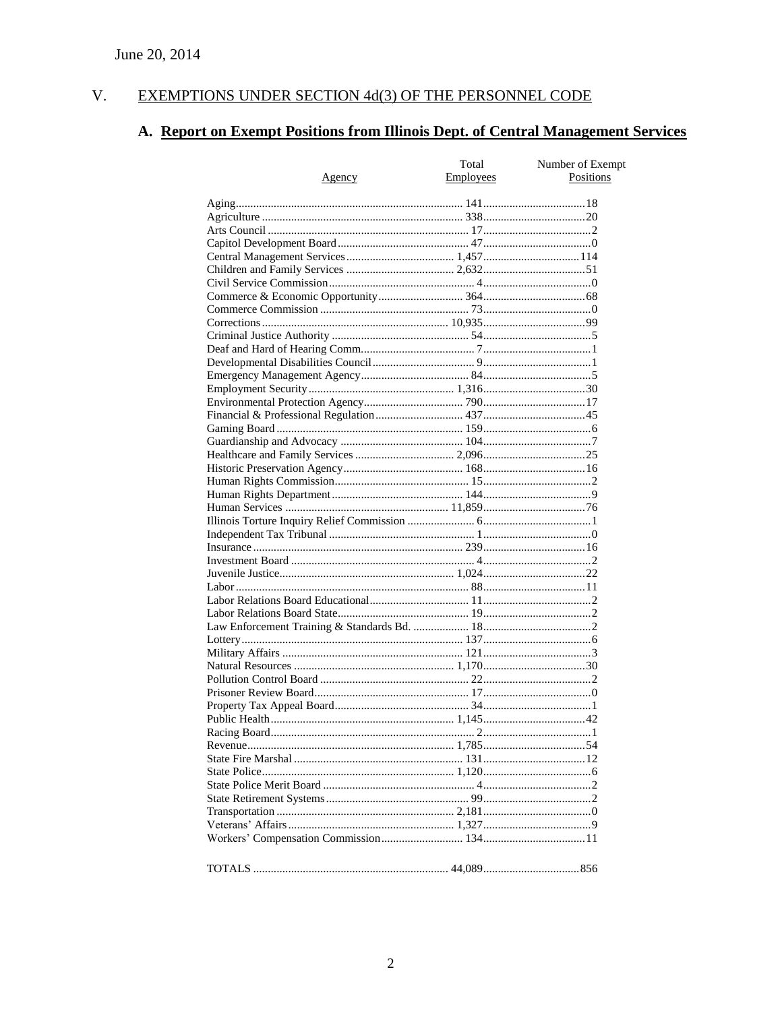#### $V<sub>r</sub>$ EXEMPTIONS UNDER SECTION 4d(3) OF THE PERSONNEL CODE

# A. Report on Exempt Positions from Illinois Dept. of Central Management Services

|        | Total     | Number of Exempt |
|--------|-----------|------------------|
| Agency | Employees | Positions        |
|        |           |                  |
|        |           |                  |
|        |           |                  |
|        |           |                  |
|        |           |                  |
|        |           |                  |
|        |           |                  |
|        |           |                  |
|        |           |                  |
|        |           |                  |
|        |           |                  |
|        |           |                  |
|        |           |                  |
|        |           |                  |
|        |           |                  |
|        |           |                  |
|        |           |                  |
|        |           |                  |
|        |           |                  |
|        |           |                  |
|        |           |                  |
|        |           |                  |
|        |           |                  |
|        |           |                  |
|        |           |                  |
|        |           |                  |
|        |           |                  |
|        |           |                  |
|        |           |                  |
|        |           |                  |
|        |           |                  |
|        |           |                  |
|        |           |                  |
|        |           |                  |
|        |           |                  |
|        |           |                  |
|        |           |                  |
|        |           |                  |
|        |           |                  |
|        |           |                  |
|        |           |                  |
|        |           |                  |
|        |           |                  |
|        |           |                  |
|        |           |                  |
|        |           |                  |
|        |           |                  |
|        |           |                  |
|        |           |                  |
|        |           |                  |
|        |           |                  |
|        |           |                  |
|        |           |                  |
|        |           |                  |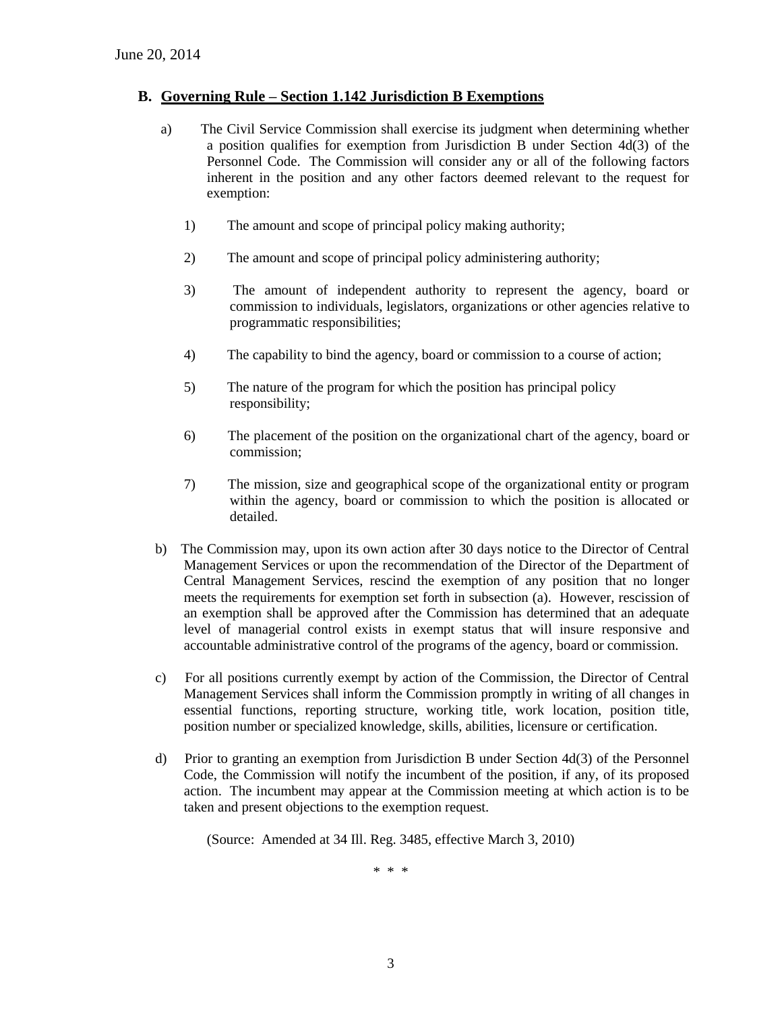### **B. Governing Rule – Section 1.142 Jurisdiction B Exemptions**

- a) The Civil Service Commission shall exercise its judgment when determining whether a position qualifies for exemption from Jurisdiction B under Section 4d(3) of the Personnel Code. The Commission will consider any or all of the following factors inherent in the position and any other factors deemed relevant to the request for exemption:
	- 1) The amount and scope of principal policy making authority;
	- 2) The amount and scope of principal policy administering authority;
	- 3) The amount of independent authority to represent the agency, board or commission to individuals, legislators, organizations or other agencies relative to programmatic responsibilities;
	- 4) The capability to bind the agency, board or commission to a course of action;
	- 5) The nature of the program for which the position has principal policy responsibility;
	- 6) The placement of the position on the organizational chart of the agency, board or commission;
	- 7) The mission, size and geographical scope of the organizational entity or program within the agency, board or commission to which the position is allocated or detailed.
- b) The Commission may, upon its own action after 30 days notice to the Director of Central Management Services or upon the recommendation of the Director of the Department of Central Management Services, rescind the exemption of any position that no longer meets the requirements for exemption set forth in subsection (a). However, rescission of an exemption shall be approved after the Commission has determined that an adequate level of managerial control exists in exempt status that will insure responsive and accountable administrative control of the programs of the agency, board or commission.
- c) For all positions currently exempt by action of the Commission, the Director of Central Management Services shall inform the Commission promptly in writing of all changes in essential functions, reporting structure, working title, work location, position title, position number or specialized knowledge, skills, abilities, licensure or certification.
- d) Prior to granting an exemption from Jurisdiction B under Section 4d(3) of the Personnel Code, the Commission will notify the incumbent of the position, if any, of its proposed action. The incumbent may appear at the Commission meeting at which action is to be taken and present objections to the exemption request.

(Source: Amended at 34 Ill. Reg. 3485, effective March 3, 2010)

\* \* \*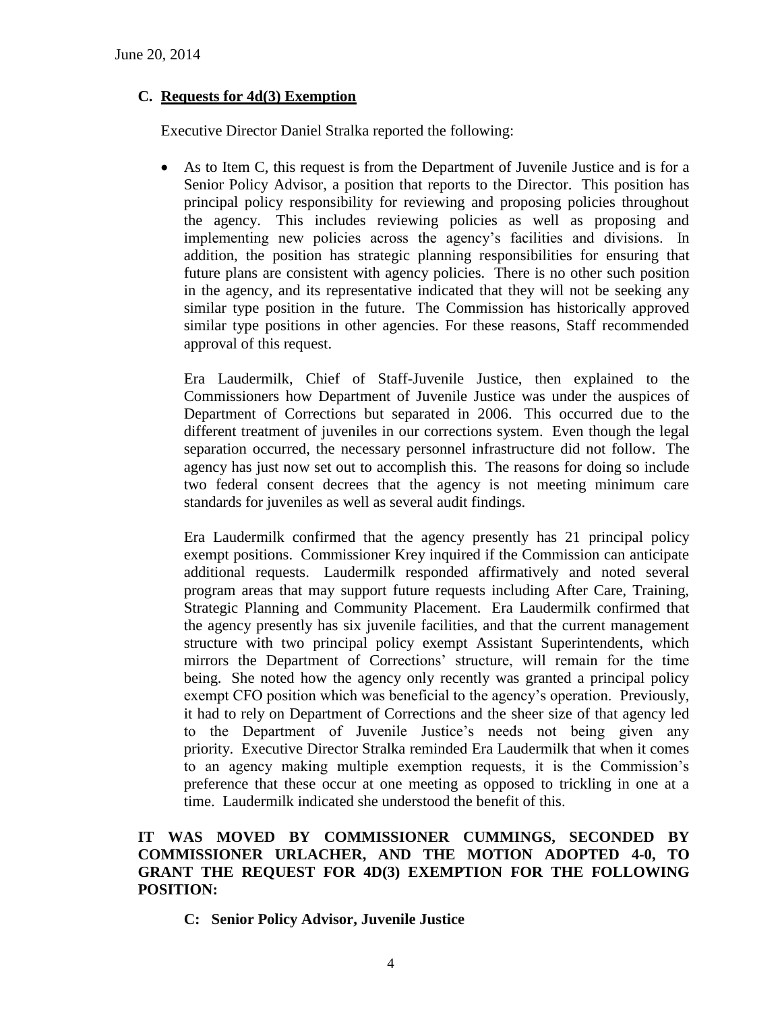### **C. Requests for 4d(3) Exemption**

Executive Director Daniel Stralka reported the following:

 As to Item C, this request is from the Department of Juvenile Justice and is for a Senior Policy Advisor, a position that reports to the Director. This position has principal policy responsibility for reviewing and proposing policies throughout the agency. This includes reviewing policies as well as proposing and implementing new policies across the agency's facilities and divisions. In addition, the position has strategic planning responsibilities for ensuring that future plans are consistent with agency policies. There is no other such position in the agency, and its representative indicated that they will not be seeking any similar type position in the future. The Commission has historically approved similar type positions in other agencies. For these reasons, Staff recommended approval of this request.

Era Laudermilk, Chief of Staff-Juvenile Justice, then explained to the Commissioners how Department of Juvenile Justice was under the auspices of Department of Corrections but separated in 2006. This occurred due to the different treatment of juveniles in our corrections system. Even though the legal separation occurred, the necessary personnel infrastructure did not follow. The agency has just now set out to accomplish this. The reasons for doing so include two federal consent decrees that the agency is not meeting minimum care standards for juveniles as well as several audit findings.

Era Laudermilk confirmed that the agency presently has 21 principal policy exempt positions. Commissioner Krey inquired if the Commission can anticipate additional requests. Laudermilk responded affirmatively and noted several program areas that may support future requests including After Care, Training, Strategic Planning and Community Placement. Era Laudermilk confirmed that the agency presently has six juvenile facilities, and that the current management structure with two principal policy exempt Assistant Superintendents, which mirrors the Department of Corrections' structure, will remain for the time being. She noted how the agency only recently was granted a principal policy exempt CFO position which was beneficial to the agency's operation. Previously, it had to rely on Department of Corrections and the sheer size of that agency led to the Department of Juvenile Justice's needs not being given any priority. Executive Director Stralka reminded Era Laudermilk that when it comes to an agency making multiple exemption requests, it is the Commission's preference that these occur at one meeting as opposed to trickling in one at a time. Laudermilk indicated she understood the benefit of this.

### **IT WAS MOVED BY COMMISSIONER CUMMINGS, SECONDED BY COMMISSIONER URLACHER, AND THE MOTION ADOPTED 4-0, TO GRANT THE REQUEST FOR 4D(3) EXEMPTION FOR THE FOLLOWING POSITION:**

**C: Senior Policy Advisor, Juvenile Justice**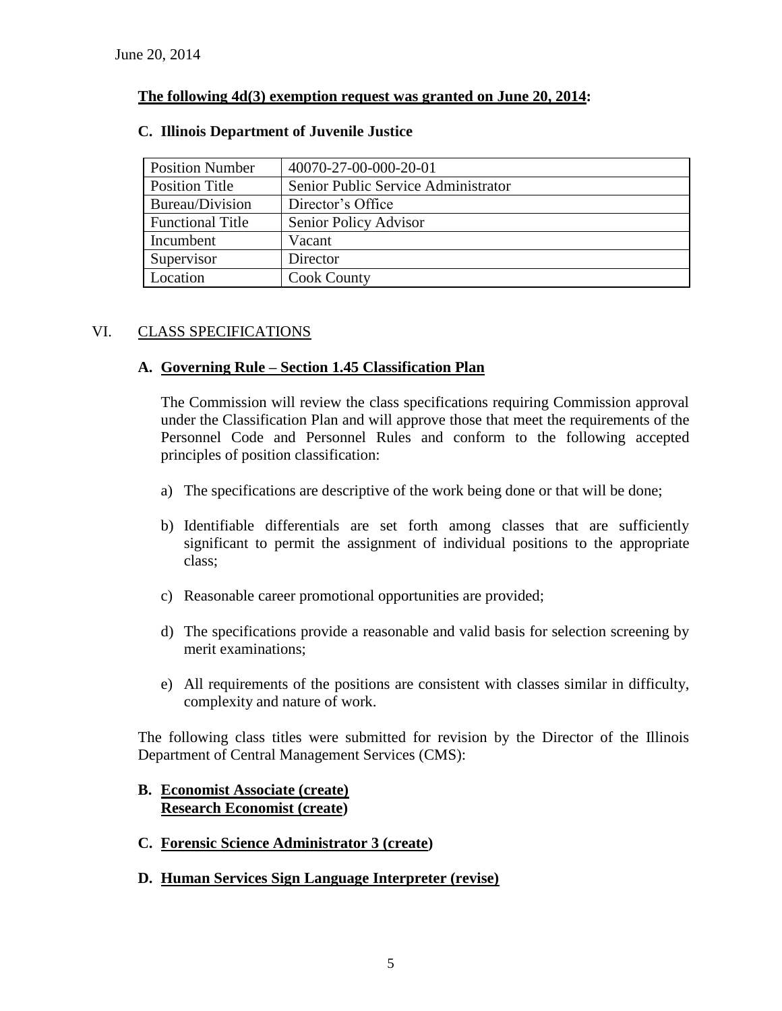### **The following 4d(3) exemption request was granted on June 20, 2014:**

| <b>Position Number</b>  | 40070-27-00-000-20-01               |
|-------------------------|-------------------------------------|
| <b>Position Title</b>   | Senior Public Service Administrator |
| Bureau/Division         | Director's Office                   |
| <b>Functional Title</b> | Senior Policy Advisor               |
| Incumbent               | Vacant                              |
| Supervisor              | Director                            |
| Location                | <b>Cook County</b>                  |

### **C. Illinois Department of Juvenile Justice**

### VI. CLASS SPECIFICATIONS

### **A. Governing Rule – Section 1.45 Classification Plan**

The Commission will review the class specifications requiring Commission approval under the Classification Plan and will approve those that meet the requirements of the Personnel Code and Personnel Rules and conform to the following accepted principles of position classification:

- a) The specifications are descriptive of the work being done or that will be done;
- b) Identifiable differentials are set forth among classes that are sufficiently significant to permit the assignment of individual positions to the appropriate class;
- c) Reasonable career promotional opportunities are provided;
- d) The specifications provide a reasonable and valid basis for selection screening by merit examinations;
- e) All requirements of the positions are consistent with classes similar in difficulty, complexity and nature of work.

The following class titles were submitted for revision by the Director of the Illinois Department of Central Management Services (CMS):

### **B. Economist Associate (create) Research Economist (create)**

- **C. Forensic Science Administrator 3 (create)**
- **D. Human Services Sign Language Interpreter (revise)**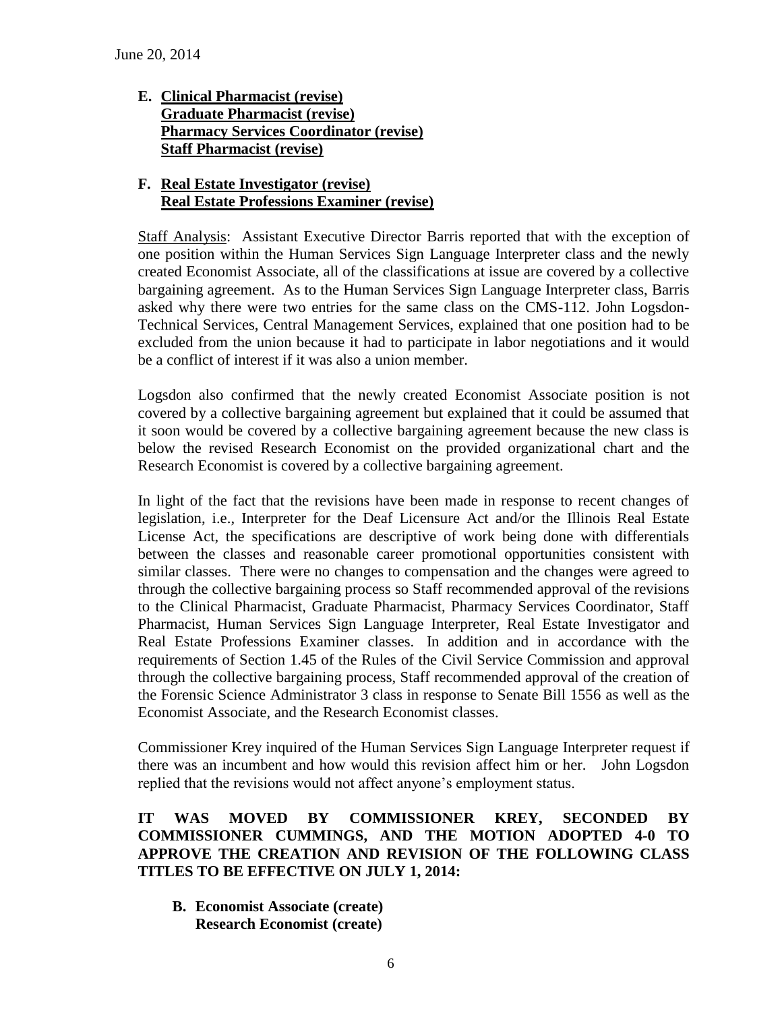**E. Clinical Pharmacist (revise) Graduate Pharmacist (revise) Pharmacy Services Coordinator (revise) Staff Pharmacist (revise)**

### **F. Real Estate Investigator (revise) Real Estate Professions Examiner (revise)**

Staff Analysis: Assistant Executive Director Barris reported that with the exception of one position within the Human Services Sign Language Interpreter class and the newly created Economist Associate, all of the classifications at issue are covered by a collective bargaining agreement. As to the Human Services Sign Language Interpreter class, Barris asked why there were two entries for the same class on the CMS-112. John Logsdon-Technical Services, Central Management Services, explained that one position had to be excluded from the union because it had to participate in labor negotiations and it would be a conflict of interest if it was also a union member.

Logsdon also confirmed that the newly created Economist Associate position is not covered by a collective bargaining agreement but explained that it could be assumed that it soon would be covered by a collective bargaining agreement because the new class is below the revised Research Economist on the provided organizational chart and the Research Economist is covered by a collective bargaining agreement.

In light of the fact that the revisions have been made in response to recent changes of legislation, i.e., Interpreter for the Deaf Licensure Act and/or the Illinois Real Estate License Act, the specifications are descriptive of work being done with differentials between the classes and reasonable career promotional opportunities consistent with similar classes. There were no changes to compensation and the changes were agreed to through the collective bargaining process so Staff recommended approval of the revisions to the Clinical Pharmacist, Graduate Pharmacist, Pharmacy Services Coordinator, Staff Pharmacist, Human Services Sign Language Interpreter, Real Estate Investigator and Real Estate Professions Examiner classes. In addition and in accordance with the requirements of Section 1.45 of the Rules of the Civil Service Commission and approval through the collective bargaining process, Staff recommended approval of the creation of the Forensic Science Administrator 3 class in response to Senate Bill 1556 as well as the Economist Associate, and the Research Economist classes.

Commissioner Krey inquired of the Human Services Sign Language Interpreter request if there was an incumbent and how would this revision affect him or her. John Logsdon replied that the revisions would not affect anyone's employment status.

### **IT WAS MOVED BY COMMISSIONER KREY, SECONDED BY COMMISSIONER CUMMINGS, AND THE MOTION ADOPTED 4-0 TO APPROVE THE CREATION AND REVISION OF THE FOLLOWING CLASS TITLES TO BE EFFECTIVE ON JULY 1, 2014:**

**B. Economist Associate (create) Research Economist (create)**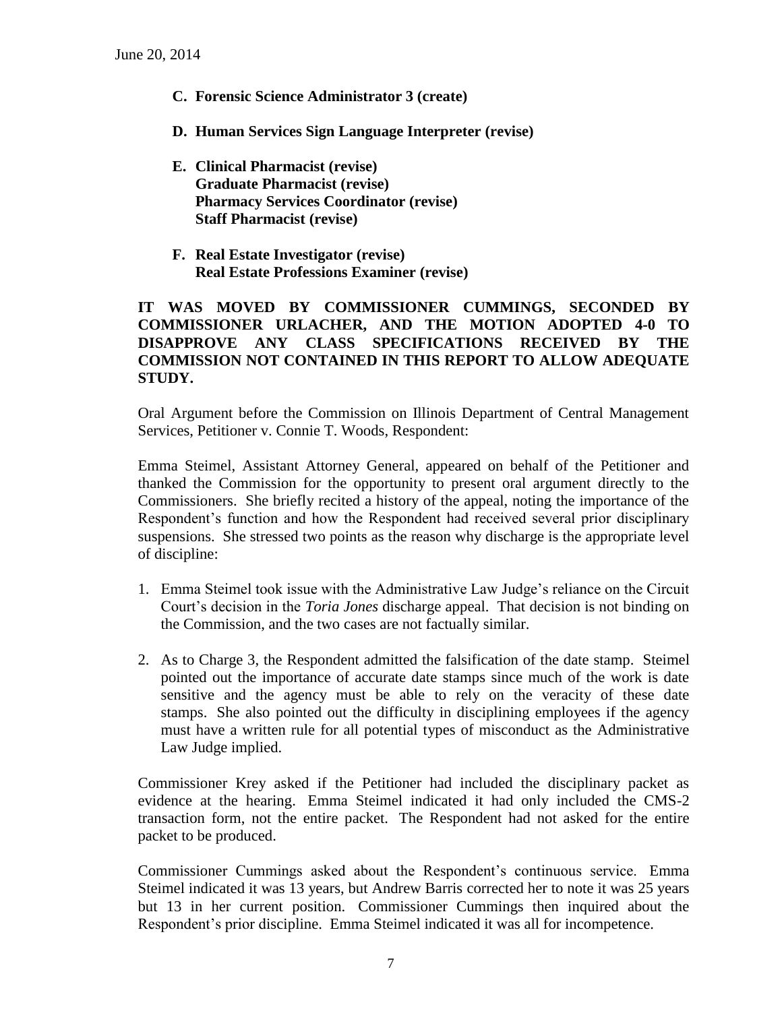- **C. Forensic Science Administrator 3 (create)**
- **D. Human Services Sign Language Interpreter (revise)**
- **E. Clinical Pharmacist (revise) Graduate Pharmacist (revise) Pharmacy Services Coordinator (revise) Staff Pharmacist (revise)**
- **F. Real Estate Investigator (revise) Real Estate Professions Examiner (revise)**

### **IT WAS MOVED BY COMMISSIONER CUMMINGS, SECONDED BY COMMISSIONER URLACHER, AND THE MOTION ADOPTED 4-0 TO DISAPPROVE ANY CLASS SPECIFICATIONS RECEIVED BY THE COMMISSION NOT CONTAINED IN THIS REPORT TO ALLOW ADEQUATE STUDY.**

Oral Argument before the Commission on Illinois Department of Central Management Services, Petitioner v. Connie T. Woods, Respondent:

Emma Steimel, Assistant Attorney General, appeared on behalf of the Petitioner and thanked the Commission for the opportunity to present oral argument directly to the Commissioners. She briefly recited a history of the appeal, noting the importance of the Respondent's function and how the Respondent had received several prior disciplinary suspensions. She stressed two points as the reason why discharge is the appropriate level of discipline:

- 1. Emma Steimel took issue with the Administrative Law Judge's reliance on the Circuit Court's decision in the *Toria Jones* discharge appeal. That decision is not binding on the Commission, and the two cases are not factually similar.
- 2. As to Charge 3, the Respondent admitted the falsification of the date stamp. Steimel pointed out the importance of accurate date stamps since much of the work is date sensitive and the agency must be able to rely on the veracity of these date stamps. She also pointed out the difficulty in disciplining employees if the agency must have a written rule for all potential types of misconduct as the Administrative Law Judge implied.

Commissioner Krey asked if the Petitioner had included the disciplinary packet as evidence at the hearing. Emma Steimel indicated it had only included the CMS-2 transaction form, not the entire packet. The Respondent had not asked for the entire packet to be produced.

Commissioner Cummings asked about the Respondent's continuous service. Emma Steimel indicated it was 13 years, but Andrew Barris corrected her to note it was 25 years but 13 in her current position. Commissioner Cummings then inquired about the Respondent's prior discipline. Emma Steimel indicated it was all for incompetence.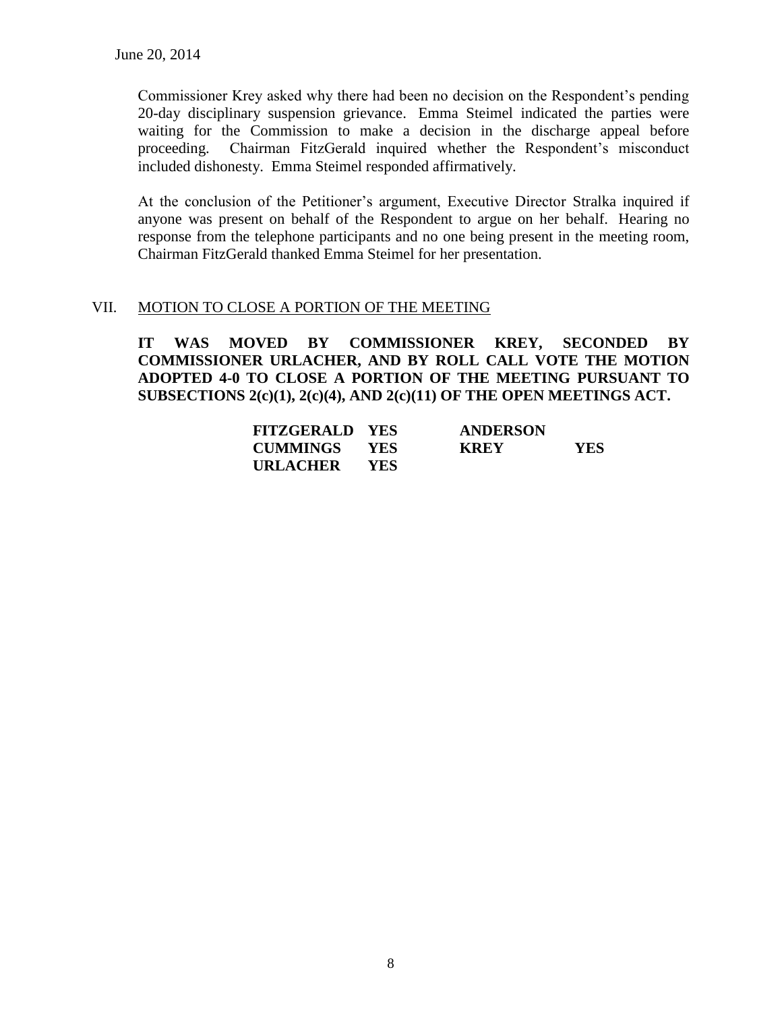Commissioner Krey asked why there had been no decision on the Respondent's pending 20-day disciplinary suspension grievance. Emma Steimel indicated the parties were waiting for the Commission to make a decision in the discharge appeal before proceeding. Chairman FitzGerald inquired whether the Respondent's misconduct included dishonesty. Emma Steimel responded affirmatively.

At the conclusion of the Petitioner's argument, Executive Director Stralka inquired if anyone was present on behalf of the Respondent to argue on her behalf. Hearing no response from the telephone participants and no one being present in the meeting room, Chairman FitzGerald thanked Emma Steimel for her presentation.

### VII. MOTION TO CLOSE A PORTION OF THE MEETING

**IT WAS MOVED BY COMMISSIONER KREY, SECONDED BY COMMISSIONER URLACHER, AND BY ROLL CALL VOTE THE MOTION ADOPTED 4-0 TO CLOSE A PORTION OF THE MEETING PURSUANT TO SUBSECTIONS 2(c)(1), 2(c)(4), AND 2(c)(11) OF THE OPEN MEETINGS ACT.**

| <b>FITZGERALD YES</b> |            | <b>ANDERSON</b> |            |
|-----------------------|------------|-----------------|------------|
| <b>CUMMINGS</b>       | YES        | <b>KREY</b>     | <b>YES</b> |
| URLACHER              | <b>YES</b> |                 |            |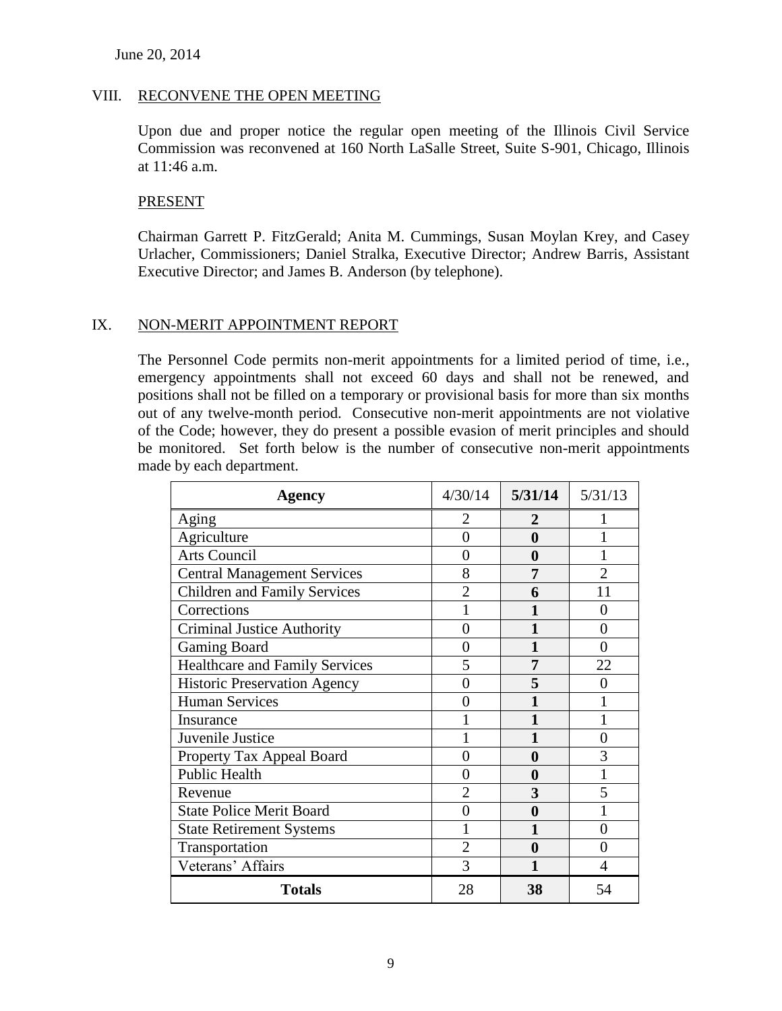#### VIII. RECONVENE THE OPEN MEETING

Upon due and proper notice the regular open meeting of the Illinois Civil Service Commission was reconvened at 160 North LaSalle Street, Suite S-901, Chicago, Illinois at 11:46 a.m.

#### PRESENT

Chairman Garrett P. FitzGerald; Anita M. Cummings, Susan Moylan Krey, and Casey Urlacher, Commissioners; Daniel Stralka, Executive Director; Andrew Barris, Assistant Executive Director; and James B. Anderson (by telephone).

### IX. NON-MERIT APPOINTMENT REPORT

The Personnel Code permits non-merit appointments for a limited period of time, i.e., emergency appointments shall not exceed 60 days and shall not be renewed, and positions shall not be filled on a temporary or provisional basis for more than six months out of any twelve-month period. Consecutive non-merit appointments are not violative of the Code; however, they do present a possible evasion of merit principles and should be monitored. Set forth below is the number of consecutive non-merit appointments made by each department.

| <b>Agency</b>                         | 4/30/14        | 5/31/14  | 5/31/13        |
|---------------------------------------|----------------|----------|----------------|
| Aging                                 | 2              | 2        |                |
| Agriculture                           | 0              | 0        |                |
| <b>Arts Council</b>                   | 0              | 0        |                |
| <b>Central Management Services</b>    | 8              | 7        | $\overline{2}$ |
| <b>Children and Family Services</b>   | $\overline{2}$ | 6        | 11             |
| Corrections                           |                |          | 0              |
| <b>Criminal Justice Authority</b>     | 0              |          | 0              |
| Gaming Board                          | 0              |          | 0              |
| <b>Healthcare and Family Services</b> | 5              | 7        | 22             |
| <b>Historic Preservation Agency</b>   | 0              | 5        | 0              |
| <b>Human Services</b>                 | 0              |          |                |
| Insurance                             |                |          |                |
| Juvenile Justice                      |                |          | 0              |
| Property Tax Appeal Board             |                | 0        | 3              |
| <b>Public Health</b>                  | 0              | $\bf{0}$ |                |
| Revenue                               | 2              | 3        | 5              |
| <b>State Police Merit Board</b>       | 0              | 0        |                |
| <b>State Retirement Systems</b>       |                | 1        | 0              |
| Transportation                        | $\overline{2}$ | 0        | 0              |
| Veterans' Affairs                     | 3              |          |                |
| <b>Totals</b>                         | 28             | 38       | 54             |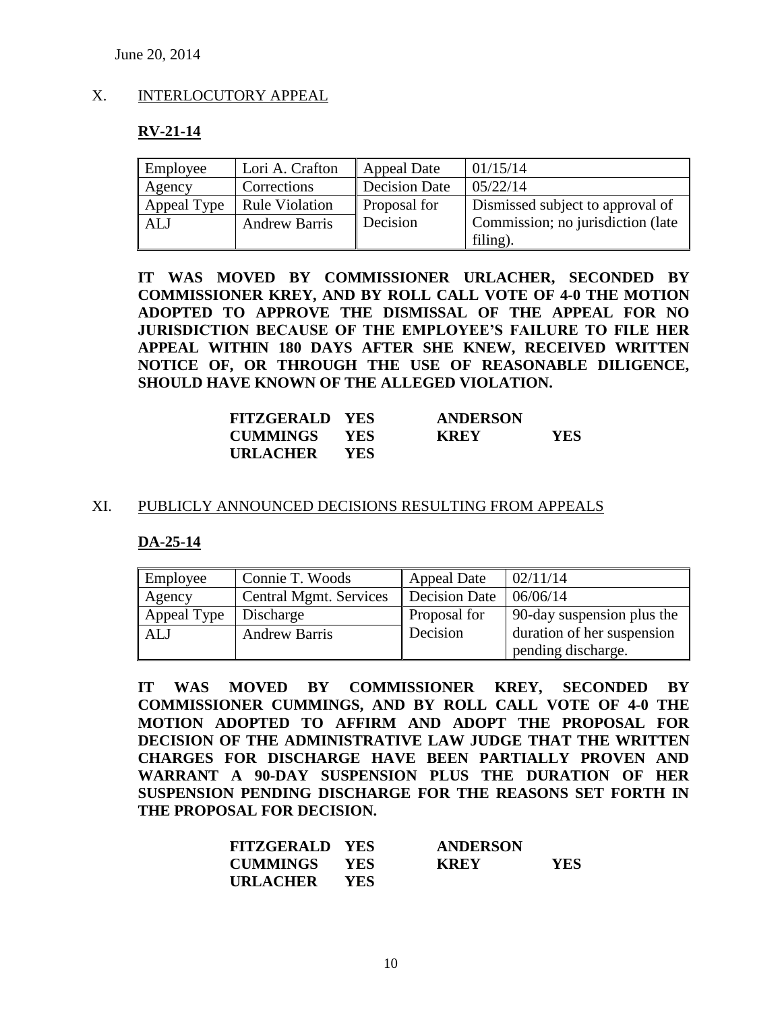## X. INTERLOCUTORY APPEAL

### **RV-21-14**

| Employee    | Lori A. Crafton       | Appeal Date          | 01/15/14                          |
|-------------|-----------------------|----------------------|-----------------------------------|
| Agency      | Corrections           | <b>Decision Date</b> | 05/22/14                          |
| Appeal Type | <b>Rule Violation</b> | Proposal for         | Dismissed subject to approval of  |
| ALJ         | <b>Andrew Barris</b>  | Decision             | Commission; no jurisdiction (late |
|             |                       |                      | filing).                          |

**IT WAS MOVED BY COMMISSIONER URLACHER, SECONDED BY COMMISSIONER KREY, AND BY ROLL CALL VOTE OF 4-0 THE MOTION ADOPTED TO APPROVE THE DISMISSAL OF THE APPEAL FOR NO JURISDICTION BECAUSE OF THE EMPLOYEE'S FAILURE TO FILE HER APPEAL WITHIN 180 DAYS AFTER SHE KNEW, RECEIVED WRITTEN NOTICE OF, OR THROUGH THE USE OF REASONABLE DILIGENCE, SHOULD HAVE KNOWN OF THE ALLEGED VIOLATION.**

| <b>FITZGERALD YES</b> | <b>ANDERSON</b> |      |
|-----------------------|-----------------|------|
| <b>CUMMINGS YES</b>   | <b>KREY</b>     | YES. |
| URLACHER YES          |                 |      |

#### XI. PUBLICLY ANNOUNCED DECISIONS RESULTING FROM APPEALS

#### **DA-25-14**

| Employee    | Connie T. Woods        | <b>Appeal Date</b>   | 02/11/14                   |
|-------------|------------------------|----------------------|----------------------------|
| Agency      | Central Mgmt. Services | <b>Decision Date</b> | 06/06/14                   |
| Appeal Type | Discharge              | Proposal for         | 90-day suspension plus the |
| <b>ALJ</b>  | <b>Andrew Barris</b>   | Decision             | duration of her suspension |
|             |                        |                      | pending discharge.         |

**IT WAS MOVED BY COMMISSIONER KREY, SECONDED BY COMMISSIONER CUMMINGS, AND BY ROLL CALL VOTE OF 4-0 THE MOTION ADOPTED TO AFFIRM AND ADOPT THE PROPOSAL FOR DECISION OF THE ADMINISTRATIVE LAW JUDGE THAT THE WRITTEN CHARGES FOR DISCHARGE HAVE BEEN PARTIALLY PROVEN AND WARRANT A 90-DAY SUSPENSION PLUS THE DURATION OF HER SUSPENSION PENDING DISCHARGE FOR THE REASONS SET FORTH IN THE PROPOSAL FOR DECISION.**

| <b>FITZGERALD YES</b> |            | <b>ANDERSON</b> |      |
|-----------------------|------------|-----------------|------|
| <b>CUMMINGS YES</b>   |            | <b>KREY</b>     | YES. |
| <b>URLACHER</b>       | <b>YES</b> |                 |      |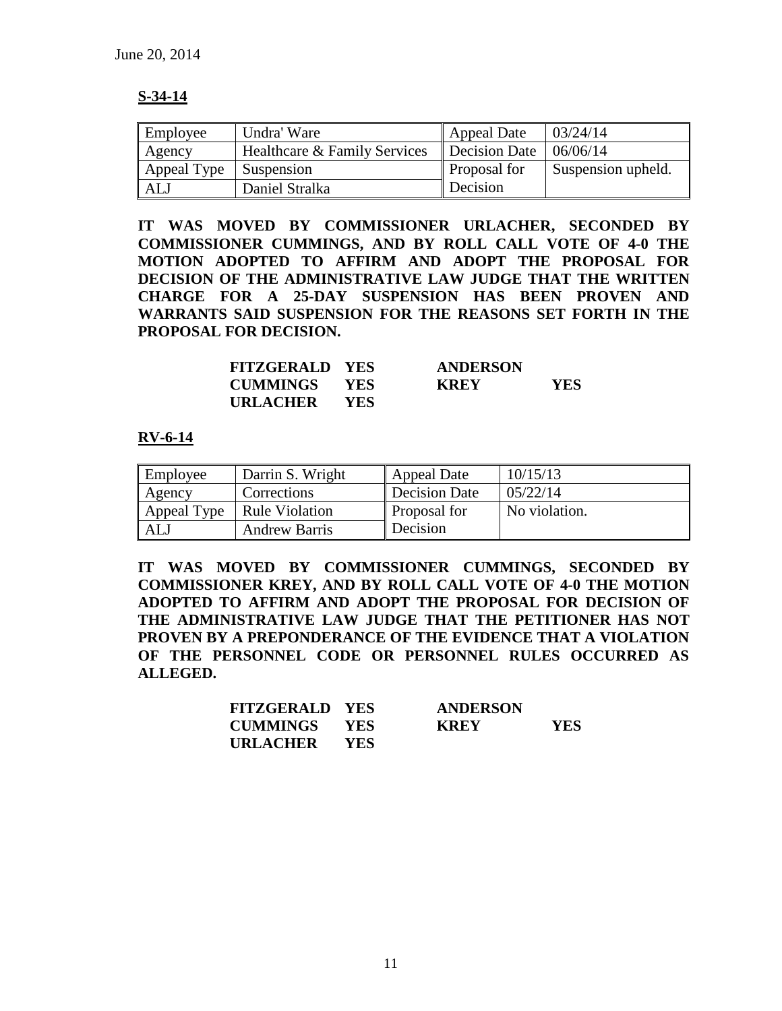### **S-34-14**

| Employee    | Undra' Ware                  | <b>Appeal Date</b>  | 03/24/14           |
|-------------|------------------------------|---------------------|--------------------|
| Agency      | Healthcare & Family Services | Decision Date       | 06/06/14           |
| Appeal Type | Suspension                   | <b>Proposal for</b> | Suspension upheld. |
| ALJ         | Daniel Stralka               | Decision            |                    |

**IT WAS MOVED BY COMMISSIONER URLACHER, SECONDED BY COMMISSIONER CUMMINGS, AND BY ROLL CALL VOTE OF 4-0 THE MOTION ADOPTED TO AFFIRM AND ADOPT THE PROPOSAL FOR DECISION OF THE ADMINISTRATIVE LAW JUDGE THAT THE WRITTEN CHARGE FOR A 25-DAY SUSPENSION HAS BEEN PROVEN AND WARRANTS SAID SUSPENSION FOR THE REASONS SET FORTH IN THE PROPOSAL FOR DECISION.**

| <b>FITZGERALD YES</b> |            | <b>ANDERSON</b> |     |
|-----------------------|------------|-----------------|-----|
| <b>CUMMINGS YES</b>   |            | <b>KREY</b>     | YES |
| URLACHER              | <b>YES</b> |                 |     |

### **RV-6-14**

| Employee    | Darrin S. Wright     | <b>Appeal Date</b>  | 10/15/13      |
|-------------|----------------------|---------------------|---------------|
| Agency      | Corrections          | Decision Date       | 05/22/14      |
| Appeal Type | Rule Violation       | <b>Proposal for</b> | No violation. |
| ALJ         | <b>Andrew Barris</b> | Decision            |               |

**IT WAS MOVED BY COMMISSIONER CUMMINGS, SECONDED BY COMMISSIONER KREY, AND BY ROLL CALL VOTE OF 4-0 THE MOTION ADOPTED TO AFFIRM AND ADOPT THE PROPOSAL FOR DECISION OF THE ADMINISTRATIVE LAW JUDGE THAT THE PETITIONER HAS NOT PROVEN BY A PREPONDERANCE OF THE EVIDENCE THAT A VIOLATION OF THE PERSONNEL CODE OR PERSONNEL RULES OCCURRED AS ALLEGED.**

| <b>FITZGERALD YES</b> |            | <b>ANDERSON</b> |     |
|-----------------------|------------|-----------------|-----|
| <b>CUMMINGS YES</b>   |            | <b>KREY</b>     | YES |
| URLACHER              | <b>YES</b> |                 |     |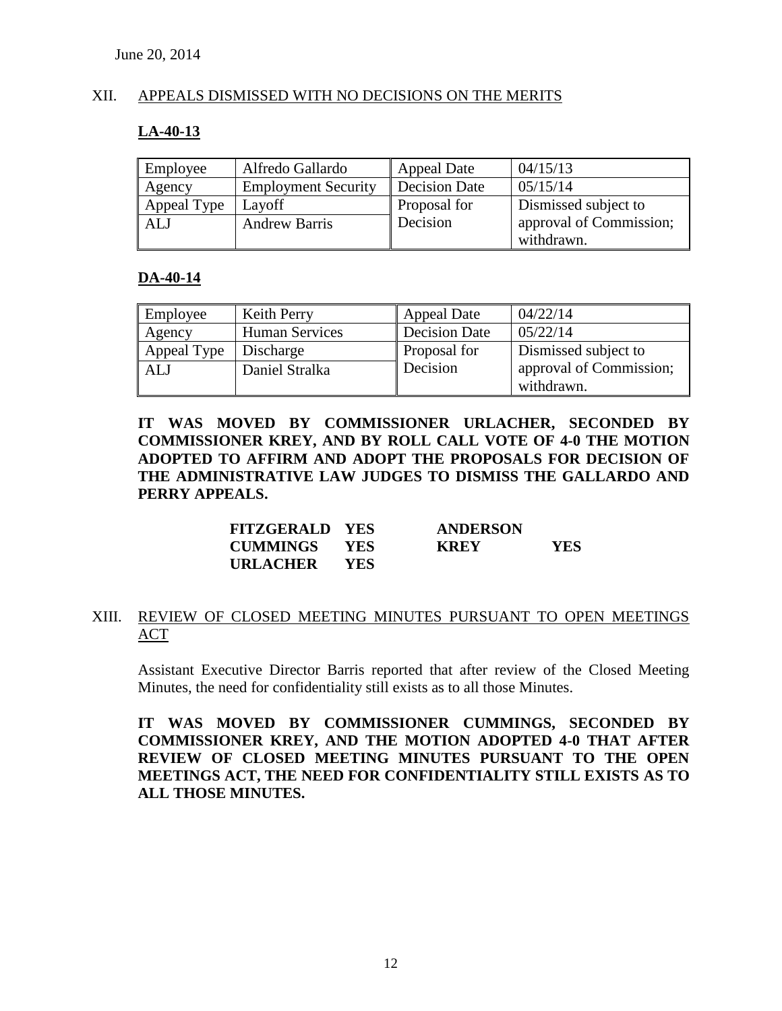### XII. APPEALS DISMISSED WITH NO DECISIONS ON THE MERITS

### **LA-40-13**

| Employee    | Alfredo Gallardo           | Appeal Date          | 04/15/13                |  |
|-------------|----------------------------|----------------------|-------------------------|--|
| Agency      | <b>Employment Security</b> | <b>Decision Date</b> | 05/15/14                |  |
| Appeal Type | Layoff                     | Proposal for         | Dismissed subject to    |  |
| <b>ALJ</b>  | <b>Andrew Barris</b>       | Decision             | approval of Commission; |  |
|             |                            |                      | withdrawn.              |  |

### **DA-40-14**

| Employee    | <b>Keith Perry</b>    | <b>Appeal Date</b> | 04/22/14                |  |
|-------------|-----------------------|--------------------|-------------------------|--|
| Agency      | <b>Human Services</b> | Decision Date      | 05/22/14                |  |
| Appeal Type | Discharge             | Proposal for       | Dismissed subject to    |  |
| <b>ALJ</b>  | Daniel Stralka        | Decision           | approval of Commission; |  |
|             |                       |                    | withdrawn.              |  |

**IT WAS MOVED BY COMMISSIONER URLACHER, SECONDED BY COMMISSIONER KREY, AND BY ROLL CALL VOTE OF 4-0 THE MOTION ADOPTED TO AFFIRM AND ADOPT THE PROPOSALS FOR DECISION OF THE ADMINISTRATIVE LAW JUDGES TO DISMISS THE GALLARDO AND PERRY APPEALS.**

| <b>FITZGERALD YES</b> |       | <b>ANDERSON</b> |            |
|-----------------------|-------|-----------------|------------|
| <b>CUMMINGS YES</b>   |       | <b>KREY</b>     | <b>YES</b> |
| <b>URLACHER</b>       | - YES |                 |            |

### XIII. REVIEW OF CLOSED MEETING MINUTES PURSUANT TO OPEN MEETINGS ACT

Assistant Executive Director Barris reported that after review of the Closed Meeting Minutes, the need for confidentiality still exists as to all those Minutes.

**IT WAS MOVED BY COMMISSIONER CUMMINGS, SECONDED BY COMMISSIONER KREY, AND THE MOTION ADOPTED 4-0 THAT AFTER REVIEW OF CLOSED MEETING MINUTES PURSUANT TO THE OPEN MEETINGS ACT, THE NEED FOR CONFIDENTIALITY STILL EXISTS AS TO ALL THOSE MINUTES.**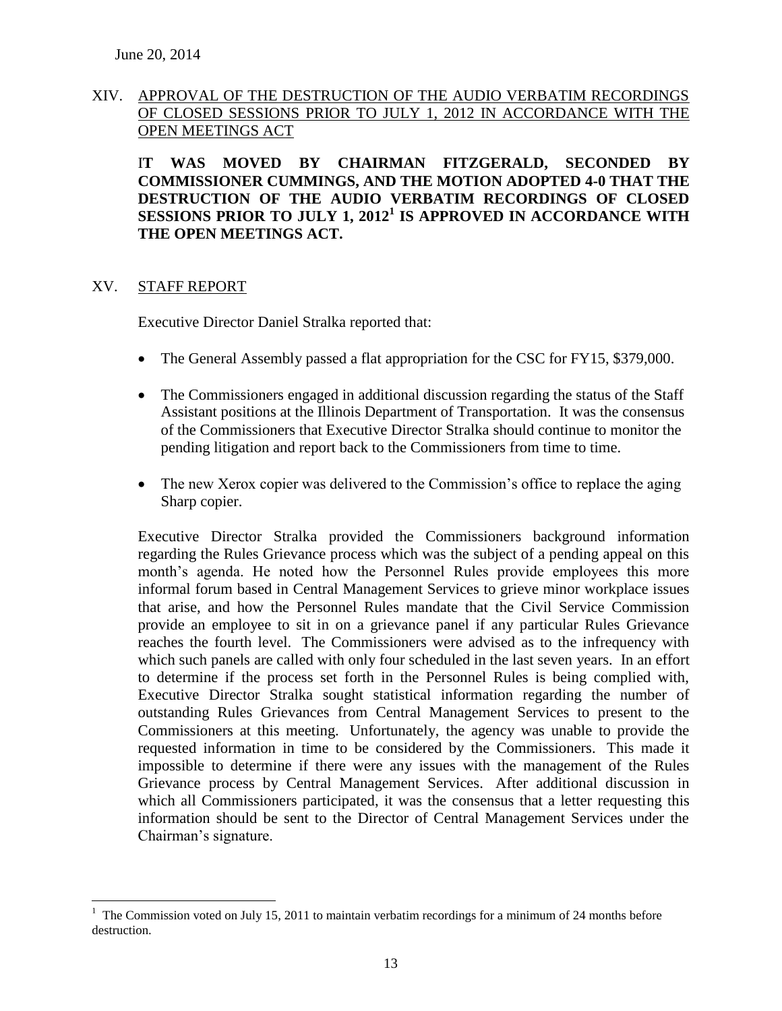### XIV. APPROVAL OF THE DESTRUCTION OF THE AUDIO VERBATIM RECORDINGS OF CLOSED SESSIONS PRIOR TO JULY 1, 2012 IN ACCORDANCE WITH THE OPEN MEETINGS ACT

I**T WAS MOVED BY CHAIRMAN FITZGERALD, SECONDED BY COMMISSIONER CUMMINGS, AND THE MOTION ADOPTED 4-0 THAT THE DESTRUCTION OF THE AUDIO VERBATIM RECORDINGS OF CLOSED SESSIONS PRIOR TO JULY 1, 2012<sup>1</sup> IS APPROVED IN ACCORDANCE WITH THE OPEN MEETINGS ACT.**

#### XV. STAFF REPORT

 $\overline{a}$ 

Executive Director Daniel Stralka reported that:

- The General Assembly passed a flat appropriation for the CSC for FY15, \$379,000.
- The Commissioners engaged in additional discussion regarding the status of the Staff Assistant positions at the Illinois Department of Transportation. It was the consensus of the Commissioners that Executive Director Stralka should continue to monitor the pending litigation and report back to the Commissioners from time to time.
- The new Xerox copier was delivered to the Commission's office to replace the aging Sharp copier.

Executive Director Stralka provided the Commissioners background information regarding the Rules Grievance process which was the subject of a pending appeal on this month's agenda. He noted how the Personnel Rules provide employees this more informal forum based in Central Management Services to grieve minor workplace issues that arise, and how the Personnel Rules mandate that the Civil Service Commission provide an employee to sit in on a grievance panel if any particular Rules Grievance reaches the fourth level. The Commissioners were advised as to the infrequency with which such panels are called with only four scheduled in the last seven years. In an effort to determine if the process set forth in the Personnel Rules is being complied with, Executive Director Stralka sought statistical information regarding the number of outstanding Rules Grievances from Central Management Services to present to the Commissioners at this meeting. Unfortunately, the agency was unable to provide the requested information in time to be considered by the Commissioners. This made it impossible to determine if there were any issues with the management of the Rules Grievance process by Central Management Services. After additional discussion in which all Commissioners participated, it was the consensus that a letter requesting this information should be sent to the Director of Central Management Services under the Chairman's signature.

 $1$  The Commission voted on July 15, 2011 to maintain verbatim recordings for a minimum of 24 months before destruction.